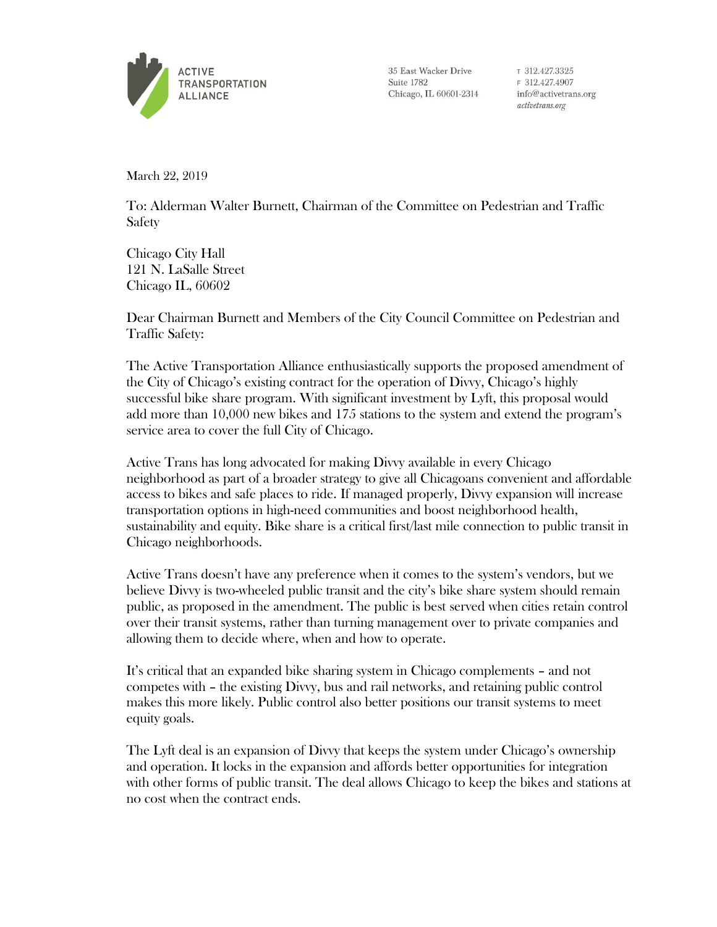

35 East Wacker Drive Suite 1782 Chicago, IL 60601-2314

T 312.427.3325 F 312.427.4907 info@activetrans.org activetrans.org

March 22, 2019

To: Alderman Walter Burnett, Chairman of the Committee on Pedestrian and Traffic Safety

Chicago City Hall 121 N. LaSalle Street Chicago IL, 60602

Dear Chairman Burnett and Members of the City Council Committee on Pedestrian and Traffic Safety:

The Active Transportation Alliance enthusiastically supports the proposed amendment of the City of Chicago's existing contract for the operation of Divvy, Chicago's highly successful bike share program. With significant investment by Lyft, this proposal would add more than 10,000 new bikes and 175 stations to the system and extend the program's service area to cover the full City of Chicago.

Active Trans has long advocated for making Divvy available in every Chicago neighborhood as part of a broader strategy to give all Chicagoans convenient and affordable access to bikes and safe places to ride. If managed properly, Divvy expansion will increase transportation options in high-need communities and boost neighborhood health, sustainability and equity. Bike share is a critical first/last mile connection to public transit in Chicago neighborhoods.

Active Trans doesn't have any preference when it comes to the system's vendors, but we believe Divvy is two-wheeled public transit and the city's bike share system should remain public, as proposed in the amendment. The public is best served when cities retain control over their transit systems, rather than turning management over to private companies and allowing them to decide where, when and how to operate.

It's critical that an expanded bike sharing system in Chicago complements – and not competes with – the existing Divvy, bus and rail networks, and retaining public control makes this more likely. Public control also better positions our transit systems to meet equity goals.

The Lyft deal is an expansion of Divvy that keeps the system under Chicago's ownership and operation. It locks in the expansion and affords better opportunities for integration with other forms of public transit. The deal allows Chicago to keep the bikes and stations at no cost when the contract ends.